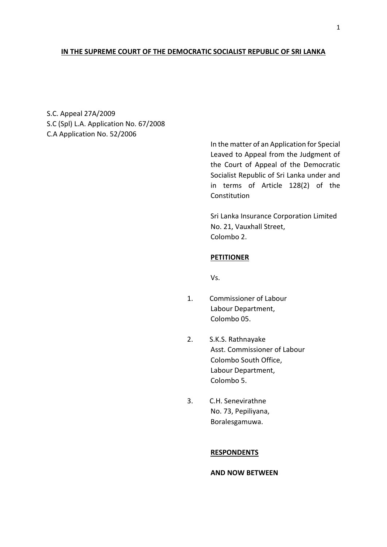# **IN THE SUPREME COURT OF THE DEMOCRATIC SOCIALIST REPUBLIC OF SRI LANKA**

S.C. Appeal 27A/2009 S.C (Spl) L.A. Application No. 67/2008 C.A Application No. 52/2006

> In the matter of an Application for Special Leaved to Appeal from the Judgment of the Court of Appeal of the Democratic Socialist Republic of Sri Lanka under and in terms of Article 128(2) of the Constitution

Sri Lanka Insurance Corporation Limited No. 21, Vauxhall Street, Colombo 2.

## **PETITIONER**

Vs.

- 1. Commissioner of Labour Labour Department, Colombo 05.
- 2. S.K.S. Rathnayake Asst. Commissioner of Labour Colombo South Office, Labour Department, Colombo 5.
- 3. C.H. Senevirathne No. 73, Pepiliyana, Boralesgamuwa.

### **RESPONDENTS**

**AND NOW BETWEEN**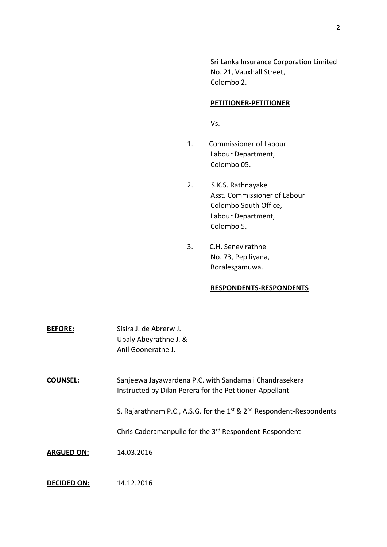Sri Lanka Insurance Corporation Limited No. 21, Vauxhall Street, Colombo 2.

## **PETITIONER-PETITIONER**

Vs.

- 1. Commissioner of Labour Labour Department, Colombo 05.
- 2. S.K.S. Rathnayake Asst. Commissioner of Labour Colombo South Office, Labour Department, Colombo 5.
- 3. C.H. Senevirathne No. 73, Pepiliyana, Boralesgamuwa.

## **RESPONDENTS-RESPONDENTS**

| <b>BEFORE:</b>     | Sisira J. de Abrerw J.<br>Upaly Abeyrathne J. &<br>Anil Gooneratne J.                                             |
|--------------------|-------------------------------------------------------------------------------------------------------------------|
| <b>COUNSEL:</b>    | Sanjeewa Jayawardena P.C. with Sandamali Chandrasekera<br>Instructed by Dilan Perera for the Petitioner-Appellant |
|                    | S. Rajarathnam P.C., A.S.G. for the $1^{st}$ & $2^{nd}$ Respondent-Respondents                                    |
|                    | Chris Caderamanpulle for the 3 <sup>rd</sup> Respondent-Respondent                                                |
| <b>ARGUED ON:</b>  | 14.03.2016                                                                                                        |
| <b>DECIDED ON:</b> | 14.12.2016                                                                                                        |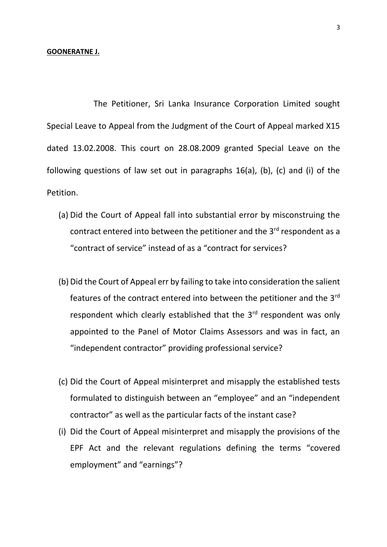#### **GOONERATNE J.**

The Petitioner, Sri Lanka Insurance Corporation Limited sought Special Leave to Appeal from the Judgment of the Court of Appeal marked X15 dated 13.02.2008. This court on 28.08.2009 granted Special Leave on the following questions of law set out in paragraphs 16(a), (b), (c) and (i) of the Petition.

- (a) Did the Court of Appeal fall into substantial error by misconstruing the contract entered into between the petitioner and the 3<sup>rd</sup> respondent as a "contract of service" instead of as a "contract for services?
- (b) Did the Court of Appeal err by failing to take into consideration the salient features of the contract entered into between the petitioner and the  $3<sup>rd</sup>$ respondent which clearly established that the 3<sup>rd</sup> respondent was only appointed to the Panel of Motor Claims Assessors and was in fact, an "independent contractor" providing professional service?
- (c) Did the Court of Appeal misinterpret and misapply the established tests formulated to distinguish between an "employee" and an "independent contractor" as well as the particular facts of the instant case?
- (i) Did the Court of Appeal misinterpret and misapply the provisions of the EPF Act and the relevant regulations defining the terms "covered employment" and "earnings"?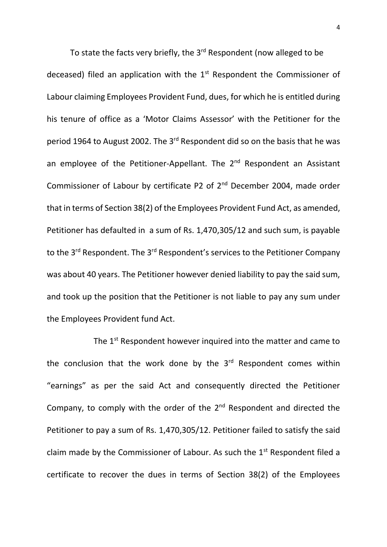To state the facts very briefly, the 3<sup>rd</sup> Respondent (now alleged to be deceased) filed an application with the  $1<sup>st</sup>$  Respondent the Commissioner of Labour claiming Employees Provident Fund, dues, for which he is entitled during his tenure of office as a 'Motor Claims Assessor' with the Petitioner for the period 1964 to August 2002. The 3<sup>rd</sup> Respondent did so on the basis that he was an employee of the Petitioner-Appellant. The 2<sup>nd</sup> Respondent an Assistant Commissioner of Labour by certificate P2 of 2<sup>nd</sup> December 2004, made order that in terms of Section 38(2) of the Employees Provident Fund Act, as amended, Petitioner has defaulted in a sum of Rs. 1,470,305/12 and such sum, is payable to the 3<sup>rd</sup> Respondent. The 3<sup>rd</sup> Respondent's services to the Petitioner Company was about 40 years. The Petitioner however denied liability to pay the said sum, and took up the position that the Petitioner is not liable to pay any sum under the Employees Provident fund Act.

The 1<sup>st</sup> Respondent however inquired into the matter and came to the conclusion that the work done by the 3<sup>rd</sup> Respondent comes within "earnings" as per the said Act and consequently directed the Petitioner Company, to comply with the order of the  $2<sup>nd</sup>$  Respondent and directed the Petitioner to pay a sum of Rs. 1,470,305/12. Petitioner failed to satisfy the said claim made by the Commissioner of Labour. As such the  $1<sup>st</sup>$  Respondent filed a certificate to recover the dues in terms of Section 38(2) of the Employees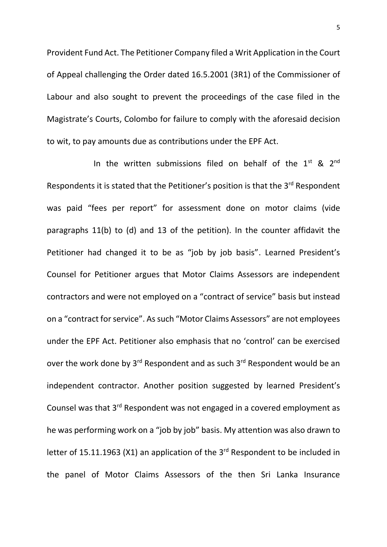Provident Fund Act. The Petitioner Company filed a Writ Application in the Court of Appeal challenging the Order dated 16.5.2001 (3R1) of the Commissioner of Labour and also sought to prevent the proceedings of the case filed in the Magistrate's Courts, Colombo for failure to comply with the aforesaid decision to wit, to pay amounts due as contributions under the EPF Act.

In the written submissions filed on behalf of the  $1<sup>st</sup>$  &  $2<sup>nd</sup>$ Respondents it is stated that the Petitioner's position is that the 3<sup>rd</sup> Respondent was paid "fees per report" for assessment done on motor claims (vide paragraphs 11(b) to (d) and 13 of the petition). In the counter affidavit the Petitioner had changed it to be as "job by job basis". Learned President's Counsel for Petitioner argues that Motor Claims Assessors are independent contractors and were not employed on a "contract of service" basis but instead on a "contract for service". As such "Motor Claims Assessors" are not employees under the EPF Act. Petitioner also emphasis that no 'control' can be exercised over the work done by 3<sup>rd</sup> Respondent and as such 3<sup>rd</sup> Respondent would be an independent contractor. Another position suggested by learned President's Counsel was that 3<sup>rd</sup> Respondent was not engaged in a covered employment as he was performing work on a "job by job" basis. My attention was also drawn to letter of 15.11.1963 (X1) an application of the  $3<sup>rd</sup>$  Respondent to be included in the panel of Motor Claims Assessors of the then Sri Lanka Insurance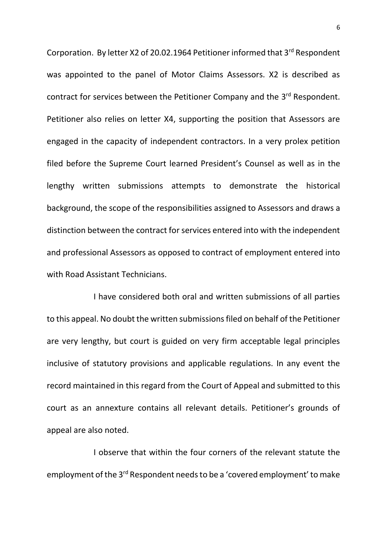Corporation. By letter X2 of 20.02.1964 Petitioner informed that 3<sup>rd</sup> Respondent was appointed to the panel of Motor Claims Assessors. X2 is described as contract for services between the Petitioner Company and the 3<sup>rd</sup> Respondent. Petitioner also relies on letter X4, supporting the position that Assessors are engaged in the capacity of independent contractors. In a very prolex petition filed before the Supreme Court learned President's Counsel as well as in the lengthy written submissions attempts to demonstrate the historical background, the scope of the responsibilities assigned to Assessors and draws a distinction between the contract for services entered into with the independent and professional Assessors as opposed to contract of employment entered into with Road Assistant Technicians.

I have considered both oral and written submissions of all parties to this appeal. No doubt the written submissions filed on behalf of the Petitioner are very lengthy, but court is guided on very firm acceptable legal principles inclusive of statutory provisions and applicable regulations. In any event the record maintained in this regard from the Court of Appeal and submitted to this court as an annexture contains all relevant details. Petitioner's grounds of appeal are also noted.

I observe that within the four corners of the relevant statute the employment of the 3<sup>rd</sup> Respondent needs to be a 'covered employment' to make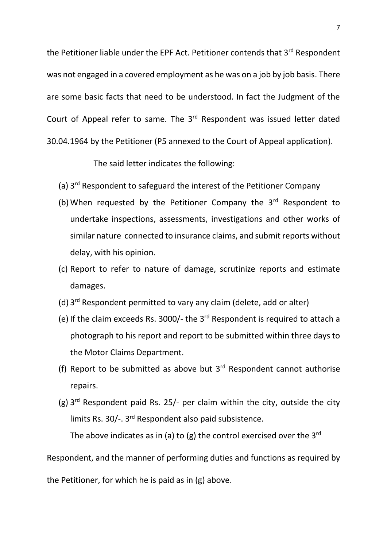the Petitioner liable under the EPF Act. Petitioner contends that 3<sup>rd</sup> Respondent was not engaged in a covered employment as he was on a job by job basis. There are some basic facts that need to be understood. In fact the Judgment of the Court of Appeal refer to same. The 3rd Respondent was issued letter dated 30.04.1964 by the Petitioner (P5 annexed to the Court of Appeal application).

The said letter indicates the following:

- (a) 3<sup>rd</sup> Respondent to safeguard the interest of the Petitioner Company
- (b) When requested by the Petitioner Company the  $3<sup>rd</sup>$  Respondent to undertake inspections, assessments, investigations and other works of similar nature connected to insurance claims, and submit reports without delay, with his opinion.
- (c) Report to refer to nature of damage, scrutinize reports and estimate damages.
- (d) 3 rd Respondent permitted to vary any claim (delete, add or alter)
- (e) If the claim exceeds Rs. 3000/- the 3rd Respondent is required to attach a photograph to his report and report to be submitted within three days to the Motor Claims Department.
- (f) Report to be submitted as above but  $3<sup>rd</sup>$  Respondent cannot authorise repairs.
- (g)  $3<sup>rd</sup>$  Respondent paid Rs. 25/- per claim within the city, outside the city limits Rs. 30/-. 3<sup>rd</sup> Respondent also paid subsistence.

The above indicates as in (a) to (g) the control exercised over the  $3<sup>rd</sup>$ 

Respondent, and the manner of performing duties and functions as required by

the Petitioner, for which he is paid as in (g) above.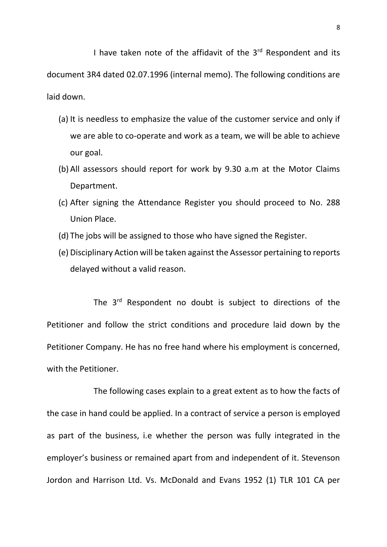I have taken note of the affidavit of the 3<sup>rd</sup> Respondent and its document 3R4 dated 02.07.1996 (internal memo). The following conditions are laid down.

- (a) It is needless to emphasize the value of the customer service and only if we are able to co-operate and work as a team, we will be able to achieve our goal.
- (b) All assessors should report for work by 9.30 a.m at the Motor Claims Department.
- (c) After signing the Attendance Register you should proceed to No. 288 Union Place.
- (d) The jobs will be assigned to those who have signed the Register.
- (e) Disciplinary Action will be taken against the Assessor pertaining to reports delayed without a valid reason.

The 3<sup>rd</sup> Respondent no doubt is subject to directions of the Petitioner and follow the strict conditions and procedure laid down by the Petitioner Company. He has no free hand where his employment is concerned, with the Petitioner.

The following cases explain to a great extent as to how the facts of the case in hand could be applied. In a contract of service a person is employed as part of the business, i.e whether the person was fully integrated in the employer's business or remained apart from and independent of it. Stevenson Jordon and Harrison Ltd. Vs. McDonald and Evans 1952 (1) TLR 101 CA per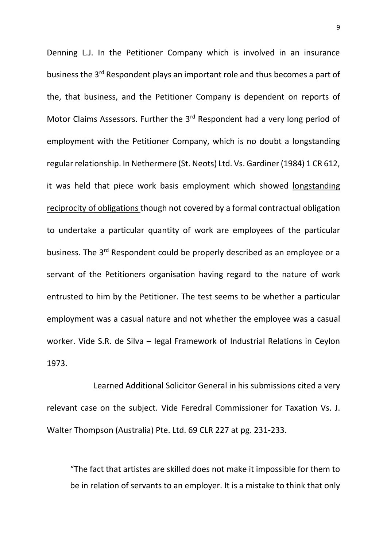Denning L.J. In the Petitioner Company which is involved in an insurance business the 3<sup>rd</sup> Respondent plays an important role and thus becomes a part of the, that business, and the Petitioner Company is dependent on reports of Motor Claims Assessors. Further the 3<sup>rd</sup> Respondent had a very long period of employment with the Petitioner Company, which is no doubt a longstanding regular relationship. In Nethermere (St. Neots) Ltd. Vs. Gardiner (1984) 1 CR 612, it was held that piece work basis employment which showed longstanding reciprocity of obligations though not covered by a formal contractual obligation to undertake a particular quantity of work are employees of the particular business. The 3<sup>rd</sup> Respondent could be properly described as an employee or a servant of the Petitioners organisation having regard to the nature of work entrusted to him by the Petitioner. The test seems to be whether a particular employment was a casual nature and not whether the employee was a casual worker. Vide S.R. de Silva – legal Framework of Industrial Relations in Ceylon 1973.

Learned Additional Solicitor General in his submissions cited a very relevant case on the subject. Vide Feredral Commissioner for Taxation Vs. J. Walter Thompson (Australia) Pte. Ltd. 69 CLR 227 at pg. 231-233.

"The fact that artistes are skilled does not make it impossible for them to be in relation of servants to an employer. It is a mistake to think that only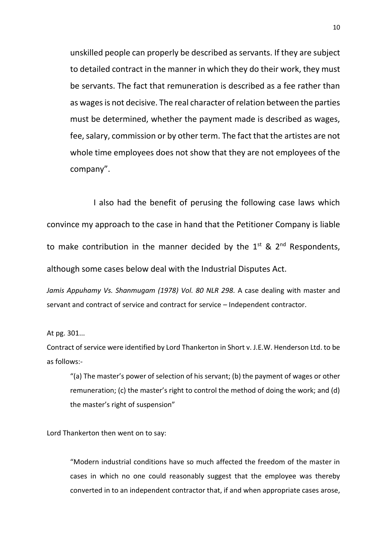unskilled people can properly be described as servants. If they are subject to detailed contract in the manner in which they do their work, they must be servants. The fact that remuneration is described as a fee rather than as wages is not decisive. The real character of relation between the parties must be determined, whether the payment made is described as wages, fee, salary, commission or by other term. The fact that the artistes are not whole time employees does not show that they are not employees of the company".

I also had the benefit of perusing the following case laws which convince my approach to the case in hand that the Petitioner Company is liable to make contribution in the manner decided by the  $1^{st}$  &  $2^{nd}$  Respondents, although some cases below deal with the Industrial Disputes Act.

*Jamis Appuhamy Vs. Shanmugam (1978) Vol. 80 NLR 298.* A case dealing with master and servant and contract of service and contract for service – Independent contractor.

At pg. 301...

Contract of service were identified by Lord Thankerton in Short v. J.E.W. Henderson Ltd. to be as follows:-

"(a) The master's power of selection of his servant; (b) the payment of wages or other remuneration; (c) the master's right to control the method of doing the work; and (d) the master's right of suspension"

Lord Thankerton then went on to say:

"Modern industrial conditions have so much affected the freedom of the master in cases in which no one could reasonably suggest that the employee was thereby converted in to an independent contractor that, if and when appropriate cases arose,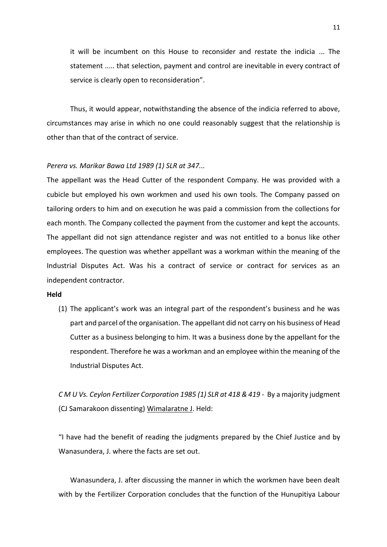it will be incumbent on this House to reconsider and restate the indicia ... The statement ..... that selection, payment and control are inevitable in every contract of service is clearly open to reconsideration".

Thus, it would appear, notwithstanding the absence of the indicia referred to above, circumstances may arise in which no one could reasonably suggest that the relationship is other than that of the contract of service.

#### *Perera vs. Marikar Bawa Ltd 1989 (1) SLR at 347...*

The appellant was the Head Cutter of the respondent Company. He was provided with a cubicle but employed his own workmen and used his own tools. The Company passed on tailoring orders to him and on execution he was paid a commission from the collections for each month. The Company collected the payment from the customer and kept the accounts. The appellant did not sign attendance register and was not entitled to a bonus like other employees. The question was whether appellant was a workman within the meaning of the Industrial Disputes Act. Was his a contract of service or contract for services as an independent contractor.

#### **Held**

(1) The applicant's work was an integral part of the respondent's business and he was part and parcel of the organisation. The appellant did not carry on his business of Head Cutter as a business belonging to him. It was a business done by the appellant for the respondent. Therefore he was a workman and an employee within the meaning of the Industrial Disputes Act.

*C M U Vs. Ceylon Fertilizer Corporation 1985 (1) SLR at 418 & 419 -* By a majority judgment (CJ Samarakoon dissenting) Wimalaratne J. Held:

"I have had the benefit of reading the judgments prepared by the Chief Justice and by Wanasundera, J. where the facts are set out.

Wanasundera, J. after discussing the manner in which the workmen have been dealt with by the Fertilizer Corporation concludes that the function of the Hunupitiya Labour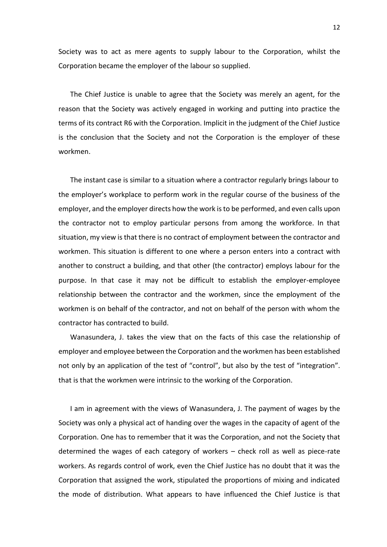Society was to act as mere agents to supply labour to the Corporation, whilst the Corporation became the employer of the labour so supplied.

The Chief Justice is unable to agree that the Society was merely an agent, for the reason that the Society was actively engaged in working and putting into practice the terms of its contract R6 with the Corporation. Implicit in the judgment of the Chief Justice is the conclusion that the Society and not the Corporation is the employer of these workmen.

The instant case is similar to a situation where a contractor regularly brings labour to the employer's workplace to perform work in the regular course of the business of the employer, and the employer directs how the work is to be performed, and even calls upon the contractor not to employ particular persons from among the workforce. In that situation, my view is that there is no contract of employment between the contractor and workmen. This situation is different to one where a person enters into a contract with another to construct a building, and that other (the contractor) employs labour for the purpose. In that case it may not be difficult to establish the employer-employee relationship between the contractor and the workmen, since the employment of the workmen is on behalf of the contractor, and not on behalf of the person with whom the contractor has contracted to build.

Wanasundera, J. takes the view that on the facts of this case the relationship of employer and employee between the Corporation and the workmen has been established not only by an application of the test of "control", but also by the test of "integration". that is that the workmen were intrinsic to the working of the Corporation.

I am in agreement with the views of Wanasundera, J. The payment of wages by the Society was only a physical act of handing over the wages in the capacity of agent of the Corporation. One has to remember that it was the Corporation, and not the Society that determined the wages of each category of workers – check roll as well as piece-rate workers. As regards control of work, even the Chief Justice has no doubt that it was the Corporation that assigned the work, stipulated the proportions of mixing and indicated the mode of distribution. What appears to have influenced the Chief Justice is that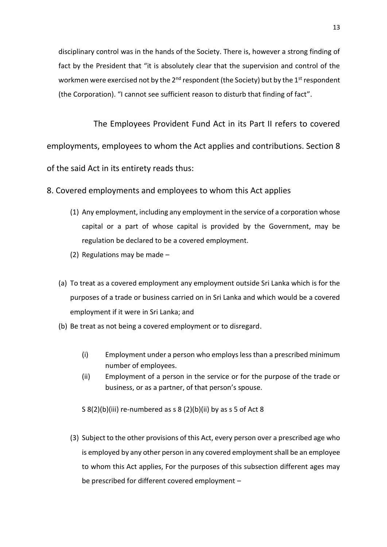disciplinary control was in the hands of the Society. There is, however a strong finding of fact by the President that "it is absolutely clear that the supervision and control of the workmen were exercised not by the  $2^{nd}$  respondent (the Society) but by the  $1^{st}$  respondent (the Corporation). "I cannot see sufficient reason to disturb that finding of fact".

The Employees Provident Fund Act in its Part II refers to covered employments, employees to whom the Act applies and contributions. Section 8 of the said Act in its entirety reads thus:

8. Covered employments and employees to whom this Act applies

- (1) Any employment, including any employment in the service of a corporation whose capital or a part of whose capital is provided by the Government, may be regulation be declared to be a covered employment.
- (2) Regulations may be made –
- (a) To treat as a covered employment any employment outside Sri Lanka which is for the purposes of a trade or business carried on in Sri Lanka and which would be a covered employment if it were in Sri Lanka; and
- (b) Be treat as not being a covered employment or to disregard.
	- (i) Employment under a person who employs less than a prescribed minimum number of employees.
	- (ii) Employment of a person in the service or for the purpose of the trade or business, or as a partner, of that person's spouse.

S  $8(2)(b)(iii)$  re-numbered as s  $8(2)(b)(ii)$  by as s 5 of Act  $8$ 

(3) Subject to the other provisions of this Act, every person over a prescribed age who is employed by any other person in any covered employment shall be an employee to whom this Act applies, For the purposes of this subsection different ages may be prescribed for different covered employment –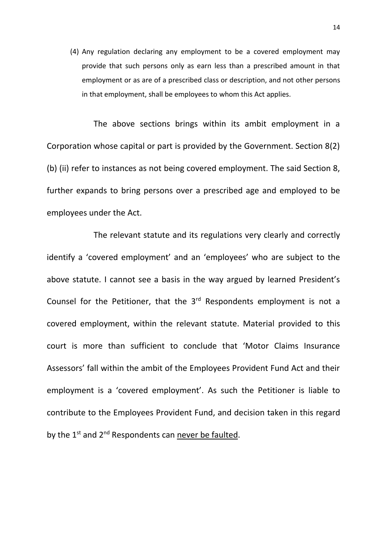(4) Any regulation declaring any employment to be a covered employment may provide that such persons only as earn less than a prescribed amount in that employment or as are of a prescribed class or description, and not other persons in that employment, shall be employees to whom this Act applies.

The above sections brings within its ambit employment in a Corporation whose capital or part is provided by the Government. Section 8(2) (b) (ii) refer to instances as not being covered employment. The said Section 8, further expands to bring persons over a prescribed age and employed to be employees under the Act.

The relevant statute and its regulations very clearly and correctly identify a 'covered employment' and an 'employees' who are subject to the above statute. I cannot see a basis in the way argued by learned President's Counsel for the Petitioner, that the 3<sup>rd</sup> Respondents employment is not a covered employment, within the relevant statute. Material provided to this court is more than sufficient to conclude that 'Motor Claims Insurance Assessors' fall within the ambit of the Employees Provident Fund Act and their employment is a 'covered employment'. As such the Petitioner is liable to contribute to the Employees Provident Fund, and decision taken in this regard by the 1<sup>st</sup> and 2<sup>nd</sup> Respondents can never be faulted.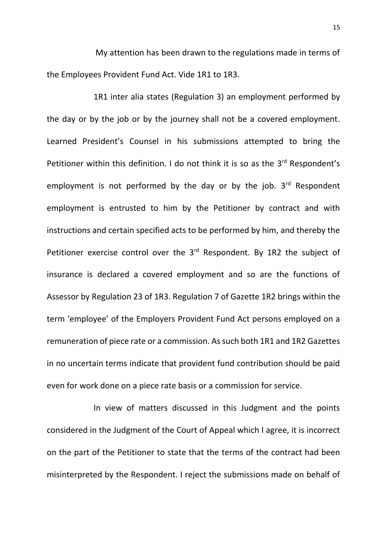My attention has been drawn to the regulations made in terms of the Employees Provident Fund Act. Vide 1R1 to 1R3.

1R1 inter alia states (Regulation 3) an employment performed by the day or by the job or by the journey shall not be a covered employment. Learned President's Counsel in his submissions attempted to bring the Petitioner within this definition. I do not think it is so as the  $3<sup>rd</sup>$  Respondent's employment is not performed by the day or by the job.  $3<sup>rd</sup>$  Respondent employment is entrusted to him by the Petitioner by contract and with instructions and certain specified acts to be performed by him, and thereby the Petitioner exercise control over the 3<sup>rd</sup> Respondent. By 1R2 the subject of insurance is declared a covered employment and so are the functions of Assessor by Regulation 23 of 1R3. Regulation 7 of Gazette 1R2 brings within the term 'employee' of the Employers Provident Fund Act persons employed on a remuneration of piece rate or a commission. As such both 1R1 and 1R2 Gazettes in no uncertain terms indicate that provident fund contribution should be paid even for work done on a piece rate basis or a commission for service.

In view of matters discussed in this Judgment and the points considered in the Judgment of the Court of Appeal which I agree, it is incorrect on the part of the Petitioner to state that the terms of the contract had been misinterpreted by the Respondent. I reject the submissions made on behalf of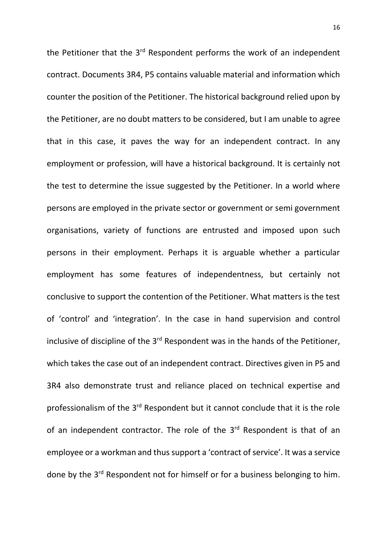the Petitioner that the  $3<sup>rd</sup>$  Respondent performs the work of an independent contract. Documents 3R4, P5 contains valuable material and information which counter the position of the Petitioner. The historical background relied upon by the Petitioner, are no doubt matters to be considered, but I am unable to agree that in this case, it paves the way for an independent contract. In any employment or profession, will have a historical background. It is certainly not the test to determine the issue suggested by the Petitioner. In a world where persons are employed in the private sector or government or semi government organisations, variety of functions are entrusted and imposed upon such persons in their employment. Perhaps it is arguable whether a particular employment has some features of independentness, but certainly not conclusive to support the contention of the Petitioner. What matters is the test of 'control' and 'integration'. In the case in hand supervision and control inclusive of discipline of the 3<sup>rd</sup> Respondent was in the hands of the Petitioner, which takes the case out of an independent contract. Directives given in P5 and 3R4 also demonstrate trust and reliance placed on technical expertise and professionalism of the 3<sup>rd</sup> Respondent but it cannot conclude that it is the role of an independent contractor. The role of the 3<sup>rd</sup> Respondent is that of an employee or a workman and thus support a 'contract of service'. It was a service done by the 3<sup>rd</sup> Respondent not for himself or for a business belonging to him.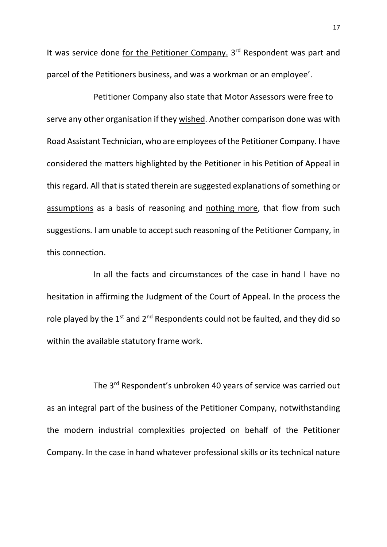It was service done for the Petitioner Company. 3<sup>rd</sup> Respondent was part and parcel of the Petitioners business, and was a workman or an employee'.

Petitioner Company also state that Motor Assessors were free to serve any other organisation if they wished. Another comparison done was with Road Assistant Technician, who are employees of the Petitioner Company. I have considered the matters highlighted by the Petitioner in his Petition of Appeal in this regard. All that is stated therein are suggested explanations of something or assumptions as a basis of reasoning and nothing more, that flow from such suggestions. I am unable to accept such reasoning of the Petitioner Company, in this connection.

In all the facts and circumstances of the case in hand I have no hesitation in affirming the Judgment of the Court of Appeal. In the process the role played by the  $1<sup>st</sup>$  and  $2<sup>nd</sup>$  Respondents could not be faulted, and they did so within the available statutory frame work.

The 3<sup>rd</sup> Respondent's unbroken 40 years of service was carried out as an integral part of the business of the Petitioner Company, notwithstanding the modern industrial complexities projected on behalf of the Petitioner Company. In the case in hand whatever professional skills or its technical nature